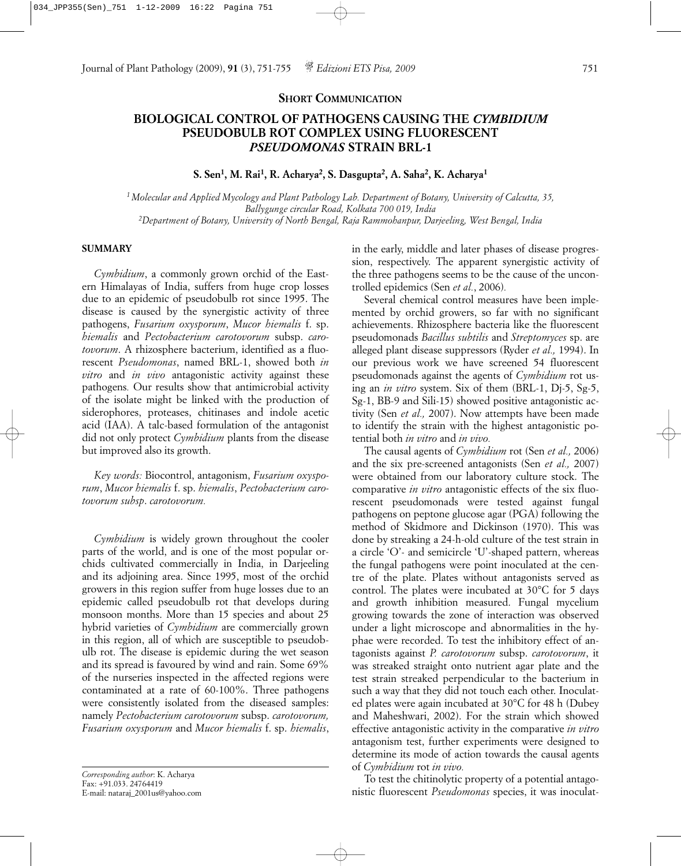## **BIOLOGICAL CONTROL OF PATHOGENS CAUSING THE** *CYMBIDIUM* **PSEUDOBULB ROT COMPLEX USING FLUORESCENT** *PSEUDOMONAS* **STRAIN BRL-1**

**S. Sen1, M. Rai1, R. Acharya2, S. Dasgupta2, A. Saha2, K. Acharya1**

*1 Molecular and Applied Mycology and Plant Pathology Lab. Department of Botany, University of Calcutta, 35, Ballygunge circular Road, Kolkata 700 019, India 2Department of Botany, University of North Bengal, Raja Rammohanpur, Darjeeling, West Bengal, India*

## **SUMMARY**

*Cymbidium*, a commonly grown orchid of the Eastern Himalayas of India, suffers from huge crop losses due to an epidemic of pseudobulb rot since 1995. The disease is caused by the synergistic activity of three pathogens, *Fusarium oxysporum*, *Mucor hiemalis* f. sp. *hiemalis* and *Pectobacterium carotovorum* subsp. *carotovorum*. A rhizosphere bacterium, identified as a fluorescent *Pseudomonas*, named BRL-1, showed both *in vitro* and *in vivo* antagonistic activity against these pathogens*.* Our results show that antimicrobial activity of the isolate might be linked with the production of siderophores, proteases, chitinases and indole acetic acid (IAA). A talc-based formulation of the antagonist did not only protect *Cymbidium* plants from the disease but improved also its growth.

*Key words:* Biocontrol, antagonism, *Fusarium oxysporum*, *Mucor hiemalis* f. sp. *hiemalis*, *Pectobacterium carotovorum subsp*. *carotovorum.*

*Cymbidium* is widely grown throughout the cooler parts of the world, and is one of the most popular orchids cultivated commercially in India, in Darjeeling and its adjoining area. Since 1995, most of the orchid growers in this region suffer from huge losses due to an epidemic called pseudobulb rot that develops during monsoon months. More than 15 species and about 25 hybrid varieties of *Cymbidium* are commercially grown in this region, all of which are susceptible to pseudobulb rot. The disease is epidemic during the wet season and its spread is favoured by wind and rain. Some 69% of the nurseries inspected in the affected regions were contaminated at a rate of 60-100%. Three pathogens were consistently isolated from the diseased samples: namely *Pectobacterium carotovorum* subsp. *carotovorum, Fusarium oxysporum* and *Mucor hiemalis* f. sp. *hiemalis*,

in the early, middle and later phases of disease progression, respectively. The apparent synergistic activity of the three pathogens seems to be the cause of the uncontrolled epidemics (Sen *et al.*, 2006)*.*

Several chemical control measures have been implemented by orchid growers, so far with no significant achievements. Rhizosphere bacteria like the fluorescent pseudomonads *Bacillus subtilis* and *Streptomyces* sp. are alleged plant disease suppressors (Ryder *et al.,* 1994). In our previous work we have screened 54 fluorescent pseudomonads against the agents of *Cymbidium* rot using an *in vitro* system. Six of them (BRL-1, Dj-5, Sg-5, Sg-1, BB-9 and Sili-15) showed positive antagonistic activity (Sen *et al.,* 2007). Now attempts have been made to identify the strain with the highest antagonistic potential both *in vitro* and *in vivo.*

The causal agents of *Cymbidium* rot (Sen *et al.,* 2006) and the six pre-screened antagonists (Sen *et al.,* 2007) were obtained from our laboratory culture stock. The comparative *in vitro* antagonistic effects of the six fluorescent pseudomonads were tested against fungal pathogens on peptone glucose agar (PGA) following the method of Skidmore and Dickinson (1970). This was done by streaking a 24-h-old culture of the test strain in a circle 'O'- and semicircle 'U'-shaped pattern, whereas the fungal pathogens were point inoculated at the centre of the plate. Plates without antagonists served as control. The plates were incubated at 30°C for 5 days and growth inhibition measured. Fungal mycelium growing towards the zone of interaction was observed under a light microscope and abnormalities in the hyphae were recorded. To test the inhibitory effect of antagonists against *P. carotovorum* subsp. *carotovorum*, it was streaked straight onto nutrient agar plate and the test strain streaked perpendicular to the bacterium in such a way that they did not touch each other. Inoculated plates were again incubated at 30°C for 48 h (Dubey and Maheshwari, 2002). For the strain which showed effective antagonistic activity in the comparative *in vitro* antagonism test, further experiments were designed to determine its mode of action towards the causal agents of *Cymbidium* rot *in vivo.*

To test the chitinolytic property of a potential antagonistic fluorescent *Pseudomonas* species, it was inoculat-

*Corresponding author*: K. Acharya Fax: +91.033. 24764419 E-mail: nataraj\_2001us@yahoo.com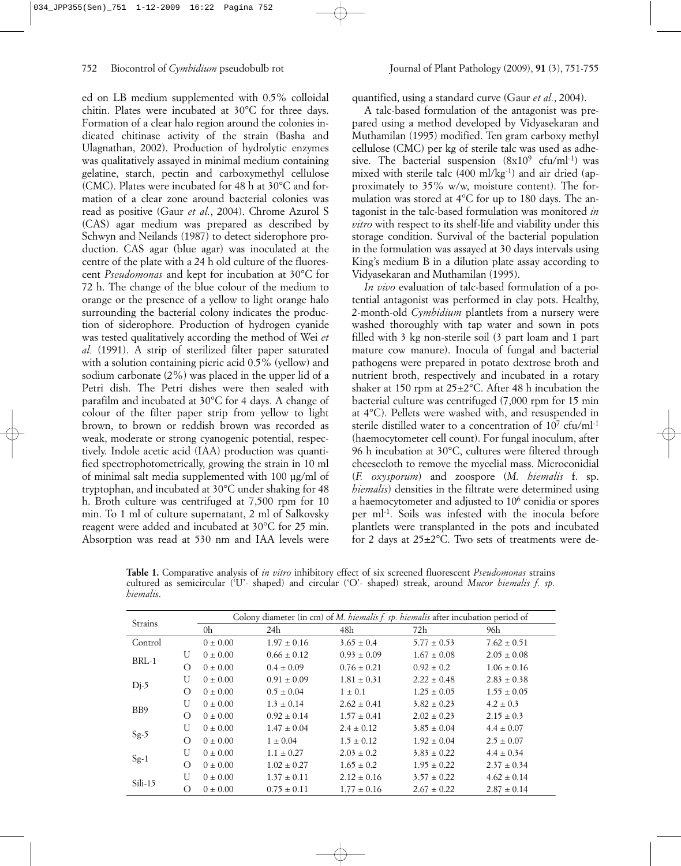ed on LB medium supplemented with 0.5% colloidal chitin. Plates were incubated at 30°C for three days. Formation of a clear halo region around the colonies indicated chitinase activity of the strain (Basha and Ulagnathan, 2002). Production of hydrolytic enzymes was qualitatively assayed in minimal medium containing gelatine, starch, pectin and carboxymethyl cellulose (CMC). Plates were incubated for 48 h at 30°C and formation of a clear zone around bacterial colonies was read as positive (Gaur *et al.*, 2004). Chrome Azurol S (CAS) agar medium was prepared as described by Schwyn and Neilands (1987) to detect siderophore production. CAS agar (blue agar) was inoculated at the centre of the plate with a 24 h old culture of the fluorescent *Pseudomonas* and kept for incubation at 30°C for 72 h. The change of the blue colour of the medium to orange or the presence of a yellow to light orange halo surrounding the bacterial colony indicates the production of siderophore. Production of hydrogen cyanide was tested qualitatively according the method of Wei *et al.* (1991). A strip of sterilized filter paper saturated with a solution containing picric acid 0.5% (yellow) and sodium carbonate (2%) was placed in the upper lid of a Petri dish. The Petri dishes were then sealed with parafilm and incubated at 30°C for 4 days. A change of colour of the filter paper strip from yellow to light brown, to brown or reddish brown was recorded as weak, moderate or strong cyanogenic potential, respectively. Indole acetic acid (IAA) production was quantified spectrophotometrically, growing the strain in 10 ml of minimal salt media supplemented with 100 µg/ml of tryptophan, and incubated at 30°C under shaking for 48 h. Broth culture was centrifuged at 7,500 rpm for 10 min. To 1 ml of culture supernatant, 2 ml of Salkovsky reagent were added and incubated at 30°C for 25 min. Absorption was read at 530 nm and IAA levels were quantified, using a standard curve (Gaur *et al.*, 2004).

A talc-based formulation of the antagonist was prepared using a method developed by Vidyasekaran and Muthamilan (1995) modified. Ten gram carboxy methyl cellulose (CMC) per kg of sterile talc was used as adhesive. The bacterial suspension  $(8x10^9 \text{ cfu/ml-1})$  was mixed with sterile talc  $(400 \text{ ml/kg}^{-1})$  and air dried (approximately to 35% w/w, moisture content). The formulation was stored at 4°C for up to 180 days. The antagonist in the talc-based formulation was monitored *in vitro* with respect to its shelf-life and viability under this storage condition. Survival of the bacterial population in the formulation was assayed at 30 days intervals using King's medium B in a dilution plate assay according to Vidyasekaran and Muthamilan (1995).

*In vivo* evaluation of talc-based formulation of a potential antagonist was performed in clay pots. Healthy, 2-month-old *Cymbidium* plantlets from a nursery were washed thoroughly with tap water and sown in pots filled with 3 kg non-sterile soil (3 part loam and 1 part mature cow manure). Inocula of fungal and bacterial pathogens were prepared in potato dextrose broth and nutrient broth, respectively and incubated in a rotary shaker at 150 rpm at 25±2°C. After 48 h incubation the bacterial culture was centrifuged (7,000 rpm for 15 min at 4°C). Pellets were washed with, and resuspended in sterile distilled water to a concentration of 10<sup>7</sup> cfu/ml<sup>-1</sup> (haemocytometer cell count). For fungal inoculum, after 96 h incubation at 30°C, cultures were filtered through cheesecloth to remove the mycelial mass. Microconidial (*F. oxysporum*) and zoospore (*M. hiemalis* f. sp. *hiemalis*) densities in the filtrate were determined using a haemocytometer and adjusted to 106 conidia or spores per ml<sup>-1</sup>. Soils was infested with the inocula before plantlets were transplanted in the pots and incubated for 2 days at 25±2°C. Two sets of treatments were de-

**Table 1.** Comparative analysis of *in vitro* inhibitory effect of six screened fluorescent *Pseudomonas* strains cultured as semicircular ('U'- shaped) and circular ('O'- shaped) streak, around *Mucor hiemalis f. sp. hiemalis*.

| Strains        |          | Colony diameter (in cm) of M. hiemalis f. sp. hiemalis after incubation period of |                 |                 |                 |                 |  |  |
|----------------|----------|-----------------------------------------------------------------------------------|-----------------|-----------------|-----------------|-----------------|--|--|
|                |          | 0h                                                                                | 24h             | 48h             | 72h             | 96h             |  |  |
| Control        |          | $0 \pm 0.00$                                                                      | $1.97 \pm 0.16$ | $3.65 \pm 0.4$  | $5.77 \pm 0.53$ | $7.62 \pm 0.51$ |  |  |
| $BRL-1$        | U        | $0 \pm 0.00$                                                                      | $0.66 \pm 0.12$ | $0.93 \pm 0.09$ | $1.67 \pm 0.08$ | $2.05 \pm 0.08$ |  |  |
|                | $\Omega$ | $0 \pm 0.00$                                                                      | $0.4 \pm 0.09$  | $0.76 \pm 0.21$ | $0.92 \pm 0.2$  | $1.06 \pm 0.16$ |  |  |
| $Dj-5$         | U        | $0 \pm 0.00$                                                                      | $0.91 \pm 0.09$ | $1.81 \pm 0.31$ | $2.22 \pm 0.48$ | $2.83 \pm 0.38$ |  |  |
|                | $\Omega$ | $0 \pm 0.00$                                                                      | $0.5 \pm 0.04$  | $1 \pm 0.1$     | $1.25 \pm 0.05$ | $1.55 \pm 0.05$ |  |  |
| B <sub>B</sub> | U        | $0 \pm 0.00$                                                                      | $1.3 \pm 0.14$  | $2.62 \pm 0.41$ | $3.82 \pm 0.23$ | $4.2 \pm 0.3$   |  |  |
|                | $\Omega$ | $0 \pm 0.00$                                                                      | $0.92 \pm 0.14$ | $1.57 \pm 0.41$ | $2.02 \pm 0.23$ | $2.15 \pm 0.3$  |  |  |
| $Sg-5$         | U        | $0 \pm 0.00$                                                                      | $1.47 \pm 0.04$ | $2.4 \pm 0.12$  | $3.85 \pm 0.04$ | $4.4 \pm 0.07$  |  |  |
|                | $\Omega$ | $0 \pm 0.00$                                                                      | $1 \pm 0.04$    | $1.5 \pm 0.12$  | $1.92 \pm 0.04$ | $2.5 \pm 0.07$  |  |  |
| $Sg-1$         | U        | $0 \pm 0.00$                                                                      | $1.1 \pm 0.27$  | $2.03 \pm 0.2$  | $3.83 \pm 0.22$ | $4.4 \pm 0.34$  |  |  |
|                | $\Omega$ | $0 \pm 0.00$                                                                      | $1.02 \pm 0.27$ | $1.65 \pm 0.2$  | $1.95 \pm 0.22$ | $2.37 \pm 0.34$ |  |  |
| Sili-15        | U        | $0 \pm 0.00$                                                                      | $1.37 \pm 0.11$ | $2.12 \pm 0.16$ | $3.57 \pm 0.22$ | $4.62 \pm 0.14$ |  |  |
|                | $\Omega$ | $0 \pm 0.00$                                                                      | $0.75 \pm 0.11$ | $1.77 \pm 0.16$ | $2.67 \pm 0.22$ | $2.87 \pm 0.14$ |  |  |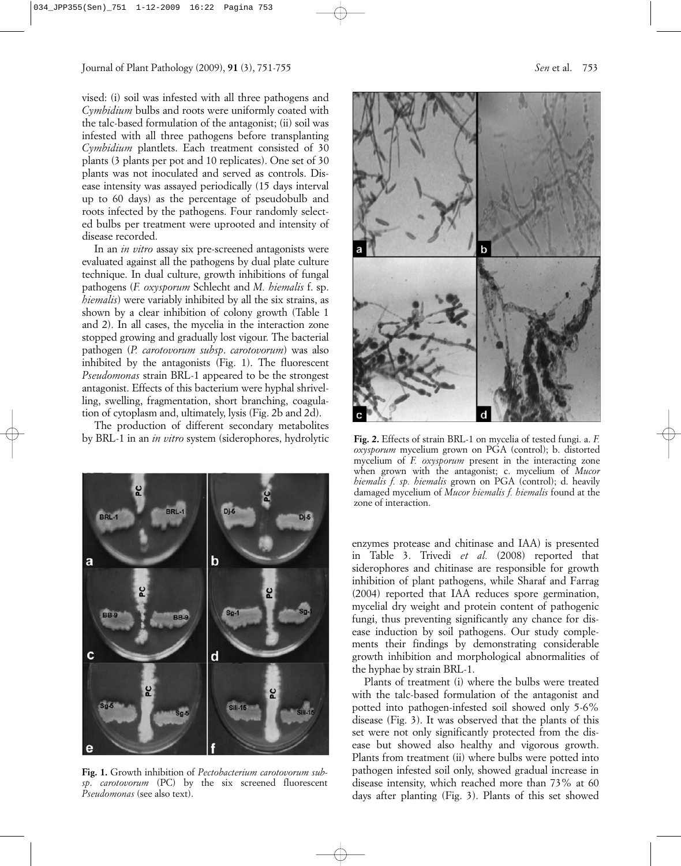vised: (i) soil was infested with all three pathogens and *Cymbidium* bulbs and roots were uniformly coated with the talc-based formulation of the antagonist; (ii) soil was infested with all three pathogens before transplanting *Cymbidium* plantlets. Each treatment consisted of 30 plants (3 plants per pot and 10 replicates). One set of 30 plants was not inoculated and served as controls. Disease intensity was assayed periodically (15 days interval up to 60 days) as the percentage of pseudobulb and roots infected by the pathogens. Four randomly selected bulbs per treatment were uprooted and intensity of disease recorded.

In an *in vitro* assay six pre-screened antagonists were evaluated against all the pathogens by dual plate culture technique. In dual culture, growth inhibitions of fungal pathogens (*F. oxysporum* Schlecht and *M. hiemalis* f. sp. *hiemalis*) were variably inhibited by all the six strains, as shown by a clear inhibition of colony growth (Table 1 and 2). In all cases, the mycelia in the interaction zone stopped growing and gradually lost vigour. The bacterial pathogen (*P. carotovorum subsp*. *carotovorum*) was also inhibited by the antagonists (Fig. 1). The fluorescent *Pseudomonas* strain BRL-1 appeared to be the strongest antagonist. Effects of this bacterium were hyphal shrivelling, swelling, fragmentation, short branching, coagulation of cytoplasm and, ultimately, lysis (Fig. 2b and 2d).

The production of different secondary metabolites by BRL-1 in an *in vitro* system (siderophores, hydrolytic



**Fig. 1.** Growth inhibition of *Pectobacterium carotovorum subsp*. *carotovorum* (PC) by the six screened fluorescent *Pseudomonas* (see also text).



**Fig. 2.** Effects of strain BRL-1 on mycelia of tested fungi. a. *F. oxysporum* mycelium grown on PGA (control); b. distorted mycelium of *F. oxysporum* present in the interacting zone when grown with the antagonist; c. mycelium of *Mucor hiemalis f. sp. hiemalis* grown on PGA (control); d. heavily damaged mycelium of *Mucor hiemalis f. hiemalis* found at the zone of interaction.

enzymes protease and chitinase and IAA) is presented in Table 3. Trivedi *et al.* (2008) reported that siderophores and chitinase are responsible for growth inhibition of plant pathogens, while Sharaf and Farrag (2004) reported that IAA reduces spore germination, mycelial dry weight and protein content of pathogenic fungi, thus preventing significantly any chance for disease induction by soil pathogens. Our study complements their findings by demonstrating considerable growth inhibition and morphological abnormalities of the hyphae by strain BRL-1.

Plants of treatment (i) where the bulbs were treated with the talc-based formulation of the antagonist and potted into pathogen-infested soil showed only 5-6% disease (Fig. 3). It was observed that the plants of this set were not only significantly protected from the disease but showed also healthy and vigorous growth. Plants from treatment (ii) where bulbs were potted into pathogen infested soil only, showed gradual increase in disease intensity, which reached more than 73% at 60 days after planting (Fig. 3). Plants of this set showed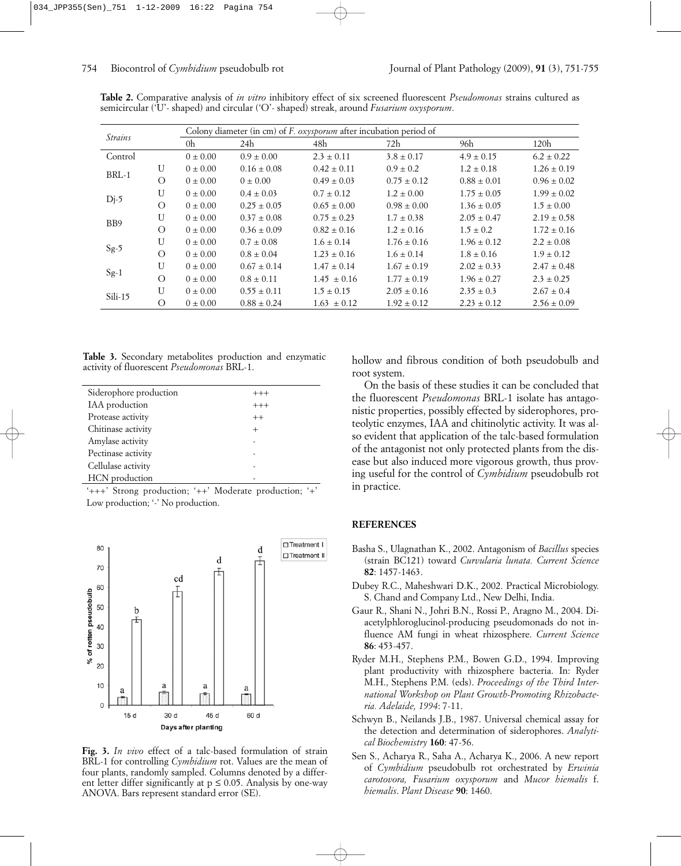| <b>Strains</b> |              | Colony diameter (in cm) of F. oxysporum after incubation period of |                 |                 |                 |                 |                 |  |
|----------------|--------------|--------------------------------------------------------------------|-----------------|-----------------|-----------------|-----------------|-----------------|--|
|                |              | 0h                                                                 | 24h             | 48h             | 72h             | 96h             | 120h            |  |
| Control        |              | $0 \pm 0.00$                                                       | $0.9 \pm 0.00$  | $2.3 \pm 0.11$  | $3.8 \pm 0.17$  | $4.9 \pm 0.15$  | $6.2 \pm 0.22$  |  |
| $BRL-1$        | U            | $0 \pm 0.00$                                                       | $0.16 \pm 0.08$ | $0.42 \pm 0.11$ | $0.9 \pm 0.2$   | $1.2 \pm 0.18$  | $1.26 \pm 0.19$ |  |
|                | $\Omega$     | $0 \pm 0.00$                                                       | $0 \pm 0.00$    | $0.49 \pm 0.03$ | $0.75 \pm 0.12$ | $0.88 \pm 0.01$ | $0.96 \pm 0.02$ |  |
| $Dj-5$         | $\mathbf{U}$ | $0 \pm 0.00$                                                       | $0.4 \pm 0.03$  | $0.7 \pm 0.12$  | $1.2 \pm 0.00$  | $1.75 \pm 0.05$ | $1.99 \pm 0.02$ |  |
|                | $\Omega$     | $0 \pm 0.00$                                                       | $0.25 \pm 0.05$ | $0.65 \pm 0.00$ | $0.98 \pm 0.00$ | $1.36 \pm 0.05$ | $1.5 \pm 0.00$  |  |
| B <sub>B</sub> | $\mathbf{U}$ | $0 \pm 0.00$                                                       | $0.37 \pm 0.08$ | $0.75 \pm 0.23$ | $1.7 \pm 0.38$  | $2.05 \pm 0.47$ | $2.19 \pm 0.58$ |  |
|                | $\Omega$     | $0 \pm 0.00$                                                       | $0.36 \pm 0.09$ | $0.82 \pm 0.16$ | $1.2 \pm 0.16$  | $1.5 \pm 0.2$   | $1.72 \pm 0.16$ |  |
| $Sg-5$         | $\mathbf{U}$ | $0 \pm 0.00$                                                       | $0.7 \pm 0.08$  | $1.6 \pm 0.14$  | $1.76 \pm 0.16$ | $1.96 \pm 0.12$ | $2.2 \pm 0.08$  |  |
|                | $\Omega$     | $0 \pm 0.00$                                                       | $0.8 \pm 0.04$  | $1.23 \pm 0.16$ | $1.6 \pm 0.14$  | $1.8 \pm 0.16$  | $1.9 \pm 0.12$  |  |
| $Sg-1$         | $\mathbf{U}$ | $0 \pm 0.00$                                                       | $0.67 \pm 0.14$ | $1.47 \pm 0.14$ | $1.67 \pm 0.19$ | $2.02 \pm 0.33$ | $2.47 \pm 0.48$ |  |
|                | $\Omega$     | $0 \pm 0.00$                                                       | $0.8 \pm 0.11$  | $1.45 \pm 0.16$ | $1.77 \pm 0.19$ | $1.96 \pm 0.27$ | $2.3 \pm 0.25$  |  |
| Sili-15        | $\mathbf{U}$ | $0 \pm 0.00$                                                       | $0.55 \pm 0.11$ | $1.5 \pm 0.15$  | $2.05 \pm 0.16$ | $2.35 \pm 0.3$  | $2.67 \pm 0.4$  |  |
|                | О            | $0 \pm 0.00$                                                       | $0.88 \pm 0.24$ | $1.63 \pm 0.12$ | $1.92 \pm 0.12$ | $2.23 \pm 0.12$ | $2.56 \pm 0.09$ |  |

**Table 2.** Comparative analysis of *in vitro* inhibitory effect of six screened fluorescent *Pseudomonas* strains cultured as semicircular ('U'- shaped) and circular ('O'- shaped) streak, around *Fusarium oxysporum*.

**Table 3.** Secondary metabolites production and enzymatic activity of fluorescent *Pseudomonas* BRL-1.

| Siderophore production | $^{+++}$       |  |
|------------------------|----------------|--|
| IAA production         | $^{+++}$       |  |
| Protease activity      | $^{++}$        |  |
| Chitinase activity     | $\overline{+}$ |  |
| Amylase activity       |                |  |
| Pectinase activity     |                |  |
| Cellulase activity     |                |  |
| HCN production         |                |  |

'+++' Strong production; '++' Moderate production; '+' Low production; '-' No production.



**Fig. 3.** *In vivo* effect of a talc-based formulation of strain BRL-1 for controlling *Cymbidium* rot. Values are the mean of four plants, randomly sampled. Columns denoted by a different letter differ significantly at  $p \le 0.05$ . Analysis by one-way ANOVA. Bars represent standard error (SE).

hollow and fibrous condition of both pseudobulb and root system.

On the basis of these studies it can be concluded that the fluorescent *Pseudomonas* BRL-1 isolate has antagonistic properties, possibly effected by siderophores, proteolytic enzymes, IAA and chitinolytic activity. It was also evident that application of the talc-based formulation of the antagonist not only protected plants from the disease but also induced more vigorous growth, thus proving useful for the control of *Cymbidium* pseudobulb rot in practice.

## **REFERENCES**

- Basha S., Ulagnathan K., 2002. Antagonism of *Bacillus* species (strain BC121) toward *Curvularia lunata. Current Science* **82**: 1457-1463.
- Dubey R.C., Maheshwari D.K., 2002. Practical Microbiology. S. Chand and Company Ltd., New Delhi, India.
- Gaur R., Shani N., Johri B.N., Rossi P., Aragno M., 2004. Diacetylphloroglucinol-producing pseudomonads do not influence AM fungi in wheat rhizosphere. *Current Science* **86**: 453-457.
- Ryder M.H., Stephens P.M., Bowen G.D., 1994. Improving plant productivity with rhizosphere bacteria. In: Ryder M.H., Stephens P.M. (eds). *Proceedings of the Third International Workshop on Plant Growth-Promoting Rhizobacteria. Adelaide, 1994*: 7-11.
- Schwyn B., Neilands J.B., 1987. Universal chemical assay for the detection and determination of siderophores. *Analytical Biochemistry* **160**: 47-56.
- Sen S., Acharya R., Saha A., Acharya K., 2006. A new report of *Cymbidium* pseudobulb rot orchestrated by *Erwinia carotovora, Fusarium oxysporum* and *Mucor hiemalis* f. *hiemalis*. *Plant Disease* **90**: 1460.